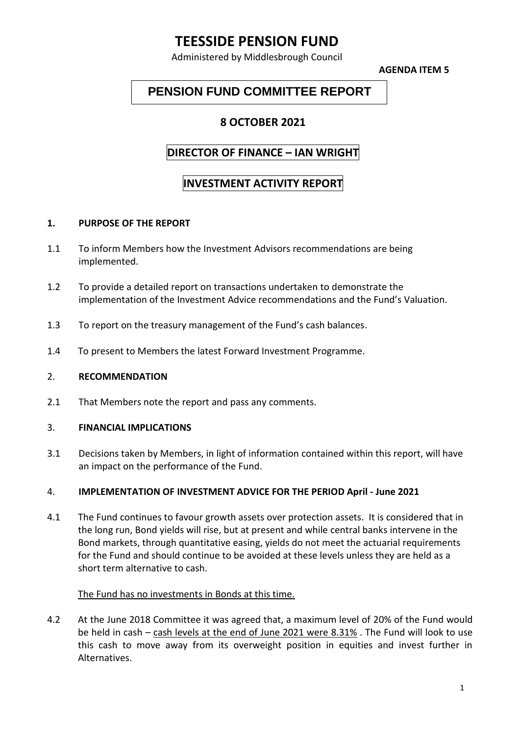# **TEESSIDE PENSION FUND**

Administered by Middlesbrough Council

**AGENDA ITEM 5**

## **PENSION FUND COMMITTEE REPORT**

## **8 OCTOBER 2021**

## **DIRECTOR OF FINANCE – IAN WRIGHT**

## **INVESTMENT ACTIVITY REPORT**

### **1. PURPOSE OF THE REPORT**

- 1.1 To inform Members how the Investment Advisors recommendations are being implemented.
- 1.2 To provide a detailed report on transactions undertaken to demonstrate the implementation of the Investment Advice recommendations and the Fund's Valuation.
- 1.3 To report on the treasury management of the Fund's cash balances.
- 1.4 To present to Members the latest Forward Investment Programme.

#### 2. **RECOMMENDATION**

2.1 That Members note the report and pass any comments.

#### 3. **FINANCIAL IMPLICATIONS**

3.1 Decisions taken by Members, in light of information contained within this report, will have an impact on the performance of the Fund.

#### 4. **IMPLEMENTATION OF INVESTMENT ADVICE FOR THE PERIOD April - June 2021**

4.1 The Fund continues to favour growth assets over protection assets. It is considered that in the long run, Bond yields will rise, but at present and while central banks intervene in the Bond markets, through quantitative easing, yields do not meet the actuarial requirements for the Fund and should continue to be avoided at these levels unless they are held as a short term alternative to cash.

#### The Fund has no investments in Bonds at this time.

4.2 At the June 2018 Committee it was agreed that, a maximum level of 20% of the Fund would be held in cash – cash levels at the end of June 2021 were 8.31% . The Fund will look to use this cash to move away from its overweight position in equities and invest further in Alternatives.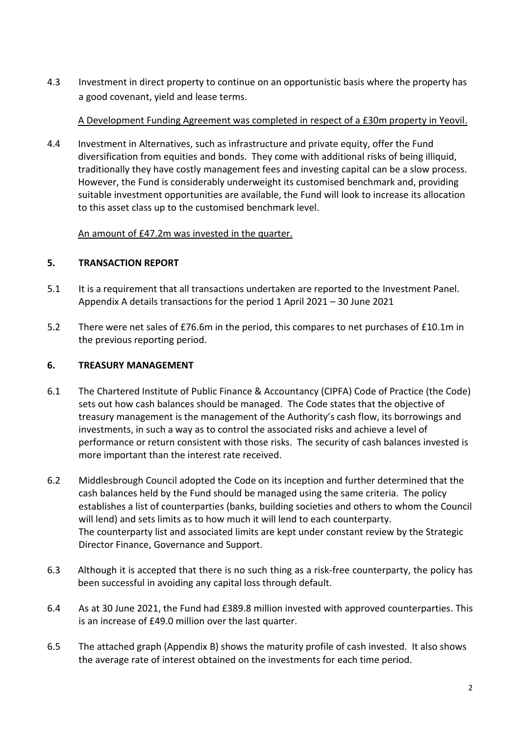4.3 Investment in direct property to continue on an opportunistic basis where the property has a good covenant, yield and lease terms.

## A Development Funding Agreement was completed in respect of a £30m property in Yeovil.

4.4 Investment in Alternatives, such as infrastructure and private equity, offer the Fund diversification from equities and bonds. They come with additional risks of being illiquid, traditionally they have costly management fees and investing capital can be a slow process. However, the Fund is considerably underweight its customised benchmark and, providing suitable investment opportunities are available, the Fund will look to increase its allocation to this asset class up to the customised benchmark level.

## An amount of £47.2m was invested in the quarter.

## **5. TRANSACTION REPORT**

- 5.1 It is a requirement that all transactions undertaken are reported to the Investment Panel. Appendix A details transactions for the period 1 April 2021 – 30 June 2021
- 5.2 There were net sales of £76.6m in the period, this compares to net purchases of £10.1m in the previous reporting period.

## **6. TREASURY MANAGEMENT**

- 6.1 The Chartered Institute of Public Finance & Accountancy (CIPFA) Code of Practice (the Code) sets out how cash balances should be managed. The Code states that the objective of treasury management is the management of the Authority's cash flow, its borrowings and investments, in such a way as to control the associated risks and achieve a level of performance or return consistent with those risks. The security of cash balances invested is more important than the interest rate received.
- 6.2 Middlesbrough Council adopted the Code on its inception and further determined that the cash balances held by the Fund should be managed using the same criteria. The policy establishes a list of counterparties (banks, building societies and others to whom the Council will lend) and sets limits as to how much it will lend to each counterparty. The counterparty list and associated limits are kept under constant review by the Strategic Director Finance, Governance and Support.
- 6.3 Although it is accepted that there is no such thing as a risk-free counterparty, the policy has been successful in avoiding any capital loss through default.
- 6.4 As at 30 June 2021, the Fund had £389.8 million invested with approved counterparties. This is an increase of £49.0 million over the last quarter.
- 6.5 The attached graph (Appendix B) shows the maturity profile of cash invested. It also shows the average rate of interest obtained on the investments for each time period.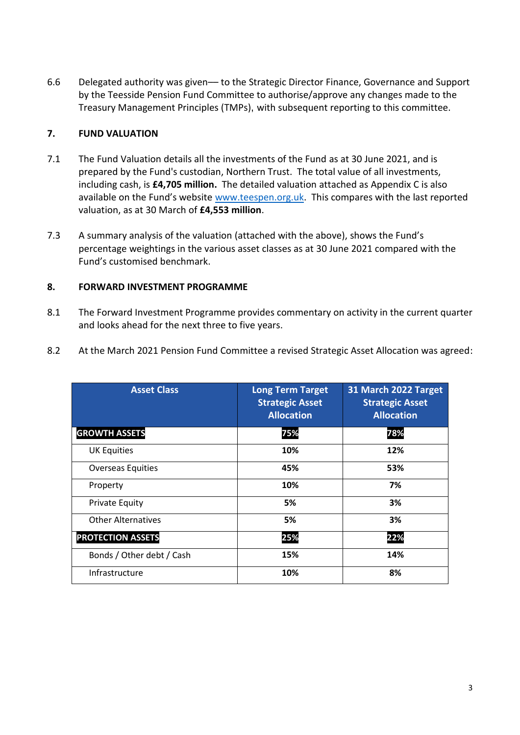6.6 Delegated authority was given–– to the Strategic Director Finance, Governance and Support by the Teesside Pension Fund Committee to authorise/approve any changes made to the Treasury Management Principles (TMPs), with subsequent reporting to this committee.

## **7. FUND VALUATION**

- 7.1 The Fund Valuation details all the investments of the Fund as at 30 June 2021, and is prepared by the Fund's custodian, Northern Trust. The total value of all investments, including cash, is **£4,705 million.** The detailed valuation attached as Appendix C is also available on the Fund's website [www.teespen.org.uk.](http://www.teespen.org.uk/) This compares with the last reported valuation, as at 30 March of **£4,553 million**.
- 7.3 A summary analysis of the valuation (attached with the above), shows the Fund's percentage weightings in the various asset classes as at 30 June 2021 compared with the Fund's customised benchmark.

## **8. FORWARD INVESTMENT PROGRAMME**

- 8.1 The Forward Investment Programme provides commentary on activity in the current quarter and looks ahead for the next three to five years.
- 8.2 At the March 2021 Pension Fund Committee a revised Strategic Asset Allocation was agreed:

| <b>Asset Class</b>        | <b>Long Term Target</b><br><b>Strategic Asset</b><br><b>Allocation</b> | 31 March 2022 Target<br><b>Strategic Asset</b><br><b>Allocation</b> |
|---------------------------|------------------------------------------------------------------------|---------------------------------------------------------------------|
| <b>GROWTH ASSETS</b>      | 75%                                                                    | 78%                                                                 |
| <b>UK Equities</b>        | 10%                                                                    | 12%                                                                 |
| <b>Overseas Equities</b>  | 45%                                                                    | 53%                                                                 |
| Property                  | 10%                                                                    | 7%                                                                  |
| <b>Private Equity</b>     | 5%                                                                     | 3%                                                                  |
| <b>Other Alternatives</b> | 5%                                                                     | 3%                                                                  |
| <b>PROTECTION ASSETS</b>  | 25%                                                                    | 22%                                                                 |
| Bonds / Other debt / Cash | 15%                                                                    | 14%                                                                 |
| Infrastructure            | 10%                                                                    | 8%                                                                  |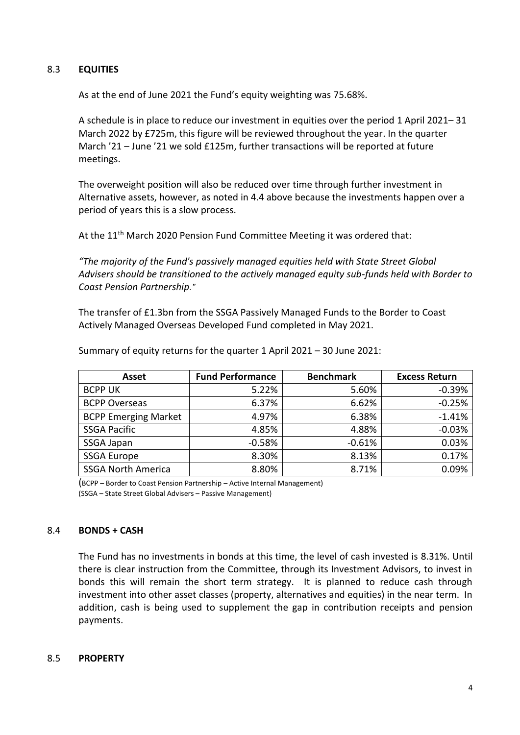### 8.3 **EQUITIES**

As at the end of June 2021 the Fund's equity weighting was 75.68%.

A schedule is in place to reduce our investment in equities over the period 1 April 2021– 31 March 2022 by £725m, this figure will be reviewed throughout the year. In the quarter March '21 – June '21 we sold £125m, further transactions will be reported at future meetings.

The overweight position will also be reduced over time through further investment in Alternative assets, however, as noted in 4.4 above because the investments happen over a period of years this is a slow process.

At the 11<sup>th</sup> March 2020 Pension Fund Committee Meeting it was ordered that:

*"The majority of the Fund's passively managed equities held with State Street Global Advisers should be transitioned to the actively managed equity sub-funds held with Border to Coast Pension Partnership."*

The transfer of £1.3bn from the SSGA Passively Managed Funds to the Border to Coast Actively Managed Overseas Developed Fund completed in May 2021.

| Asset                       | <b>Fund Performance</b> | <b>Benchmark</b> | <b>Excess Return</b> |
|-----------------------------|-------------------------|------------------|----------------------|
| <b>BCPP UK</b>              | 5.22%                   | 5.60%            | $-0.39%$             |
| <b>BCPP Overseas</b>        | 6.37%                   | 6.62%            | $-0.25%$             |
| <b>BCPP Emerging Market</b> | 4.97%                   | 6.38%            | $-1.41%$             |
| <b>SSGA Pacific</b>         | 4.85%                   | 4.88%            | $-0.03%$             |
| SSGA Japan                  | $-0.58%$                | $-0.61%$         | 0.03%                |
| <b>SSGA Europe</b>          | 8.30%                   | 8.13%            | 0.17%                |
| <b>SSGA North America</b>   | 8.80%                   | 8.71%            | 0.09%                |

Summary of equity returns for the quarter 1 April 2021 – 30 June 2021:

(BCPP – Border to Coast Pension Partnership – Active Internal Management) (SSGA – State Street Global Advisers – Passive Management)

#### 8.4 **BONDS + CASH**

The Fund has no investments in bonds at this time, the level of cash invested is 8.31%. Until there is clear instruction from the Committee, through its Investment Advisors, to invest in bonds this will remain the short term strategy. It is planned to reduce cash through investment into other asset classes (property, alternatives and equities) in the near term. In addition, cash is being used to supplement the gap in contribution receipts and pension payments.

#### 8.5 **PROPERTY**